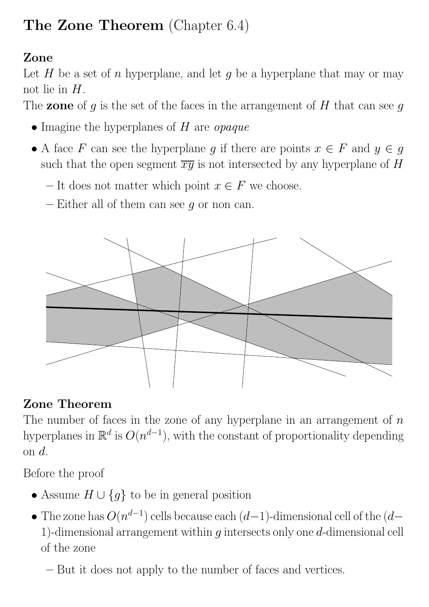## The Zone Theorem (Chapter 6.4)

## Zone

Let  $H$  be a set of n hyperplane, and let  $g$  be a hyperplane that may or may not lie in  $H$ .

The **zone** of g is the set of the faces in the arrangement of H that can see g

- Imagine the hyperplanes of  $H$  are *opaque*
- A face F can see the hyperplane g if there are points  $x \in F$  and  $y \in g$ such that the open segment  $\overline{xy}$  is not intersected by any hyperplane of H
	- It does not matter which point  $x \in F$  we choose.
	- Either all of them can see  $g$  or non can.



## Zone Theorem

The number of faces in the zone of any hyperplane in an arrangement of  $n$ hyperplanes in  $\mathbb{R}^d$  is  $O(n^{d-1})$ , with the constant of proportionality depending on d.

Before the proof

- Assume  $H \cup \{g\}$  to be in general position
- The zone has  $O(n^{d-1})$  cells because each  $(d-1)$ -dimensional cell of the  $(d-$ 1)-dimensional arrangement within  $g$  intersects only one  $d$ -dimensional cell of the zone
	- But it does not apply to the number of faces and vertices.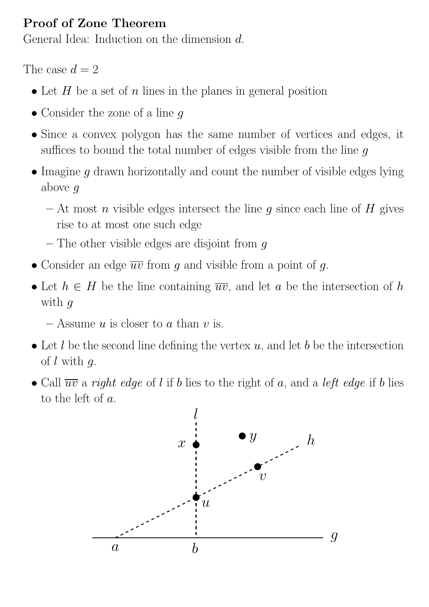## Proof of Zone Theorem

General Idea: Induction on the dimension d.

The case  $d = 2$ 

- Let  $H$  be a set of  $n$  lines in the planes in general position
- Consider the zone of a line g
- Since a convex polygon has the same number of vertices and edges, it suffices to bound the total number of edges visible from the line  $q$
- Imagine g drawn horizontally and count the number of visible edges lying above g
	- At most n visible edges intersect the line g since each line of H gives rise to at most one such edge
	- The other visible edges are disjoint from  $g$
- Consider an edge  $\overline{uv}$  from g and visible from a point of g.
- Let  $h \in H$  be the line containing  $\overline{uv}$ , and let a be the intersection of h with  $q$

– Assume u is closer to a than v is.

- Let l be the second line defining the vertex  $u$ , and let b be the intersection of  $l$  with  $q$ .
- Call  $\overline{uv}$  a right edge of l if b lies to the right of a, and a left edge if b lies to the left of a.

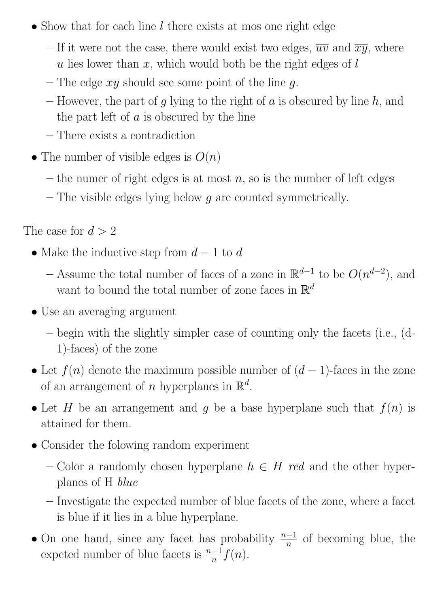- Show that for each line  $l$  there exists at mos one right edge
	- If it were not the case, there would exist two edges,  $\overline{uv}$  and  $\overline{xy}$ , where u lies lower than  $x$ , which would both be the right edges of  $l$
	- The edge  $\overline{xy}$  should see some point of the line g.
	- However, the part of g lying to the right of a is obscured by line  $h$ , and the part left of  $a$  is obscured by the line
	- There exists a contradiction
- The number of visible edges is  $O(n)$ 
	- the numer of right edges is at most  $n$ , so is the number of left edges
	- $-$  The visible edges lying below  $g$  are counted symmetrically.

The case for  $d > 2$ 

- Make the inductive step from  $d-1$  to  $d$ 
	- Assume the total number of faces of a zone in  $\mathbb{R}^{d-1}$  to be  $O(n^{d-2})$ , and want to bound the total number of zone faces in  $\mathbb{R}^d$
- Use an averaging argument
	- begin with the slightly simpler case of counting only the facets (i.e., (d-1)-faces) of the zone
- Let  $f(n)$  denote the maximum possible number of  $(d-1)$ -faces in the zone of an arrangement of n hyperplanes in  $\mathbb{R}^d$ .
- Let H be an arrangement and g be a base hyperplane such that  $f(n)$  is attained for them.
- Consider the folowing random experiment
	- Color a randomly chosen hyperplane  $h \in H$  red and the other hyperplanes of H blue
	- Investigate the expected number of blue facets of the zone, where a facet is blue if it lies in a blue hyperplane.
- On one hand, since any facet has probability  $\frac{n-1}{n}$  of becoming blue, the expcted number of blue facets is  $\frac{n-1}{n}f(n)$ .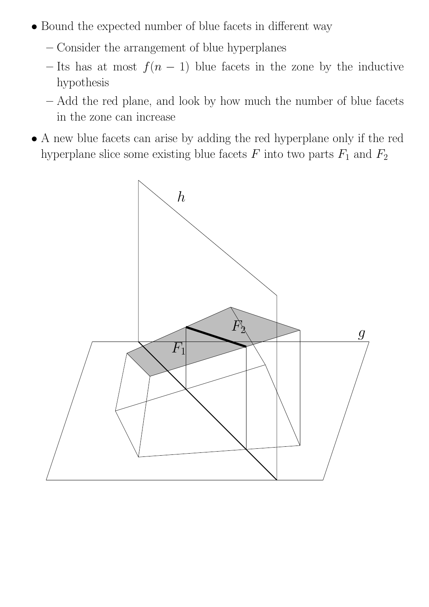- Bound the expected number of blue facets in different way
	- Consider the arrangement of blue hyperplanes
	- Its has at most  $f(n-1)$  blue facets in the zone by the inductive hypothesis
	- Add the red plane, and look by how much the number of blue facets in the zone can increase
- A new blue facets can arise by adding the red hyperplane only if the red hyperplane slice some existing blue facets  $F$  into two parts  $F_1$  and  $F_2$

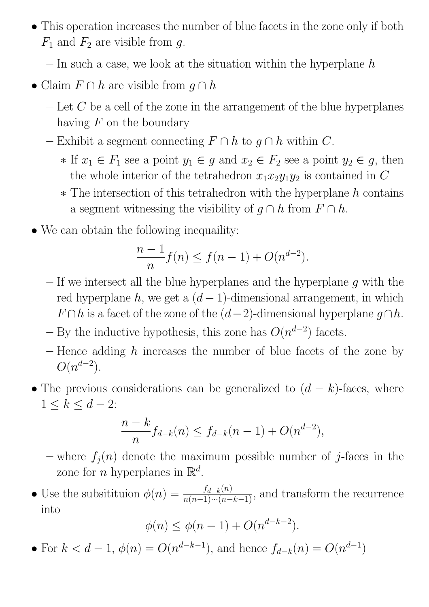- This operation increases the number of blue facets in the zone only if both  $F_1$  and  $F_2$  are visible from g.
	- $-$  In such a case, we look at the situation within the hyperplane h
- Claim  $F \cap h$  are visible from  $g \cap h$ 
	- $\mathcal{L}$  Let C be a cell of the zone in the arrangement of the blue hyperplanes having  $F$  on the boundary
	- Exhibit a segment connecting  $F \cap h$  to  $g \cap h$  within C.
		- $\ast$  If  $x_1 \in F_1$  see a point  $y_1 \in g$  and  $x_2 \in F_2$  see a point  $y_2 \in g$ , then the whole interior of the tetrahedron  $x_1x_2y_1y_2$  is contained in C
		- $*$  The intersection of this tetrahedron with the hyperplane  $h$  contains a segment witnessing the visibility of  $q \cap h$  from  $F \cap h$ .
- We can obtain the following inequaility:

$$
\frac{n-1}{n}f(n) \le f(n-1) + O(n^{d-2}).
$$

- $-$  If we intersect all the blue hyperplanes and the hyperplane g with the red hyperplane  $h$ , we get a  $(d-1)$ -dimensional arrangement, in which  $F \cap h$  is a facet of the zone of the  $(d-2)$ -dimensional hyperplane  $g \cap h$ .
- By the inductive hypothesis, this zone has  $O(n^{d-2})$  facets.
- Hence adding  $h$  increases the number of blue facets of the zone by  $O(n^{d-2})$ .
- The previous considerations can be generalized to  $(d k)$ -faces, where  $1 \leq k \leq d-2$ :

$$
\frac{n-k}{n}f_{d-k}(n) \le f_{d-k}(n-1) + O(n^{d-2}),
$$

- where  $f_j(n)$  denote the maximum possible number of j-faces in the zone for *n* hyperplanes in  $\mathbb{R}^d$ .
- Use the subsitituion  $\phi(n) = \frac{f_{d-k}(n)}{n(n-1)\cdots(n-k-1)}$ , and transform the recurrence into

$$
\phi(n) \le \phi(n-1) + O(n^{d-k-2}).
$$

• For  $k < d-1$ ,  $\phi(n) = O(n^{d-k-1})$ , and hence  $f_{d-k}(n) = O(n^{d-1})$